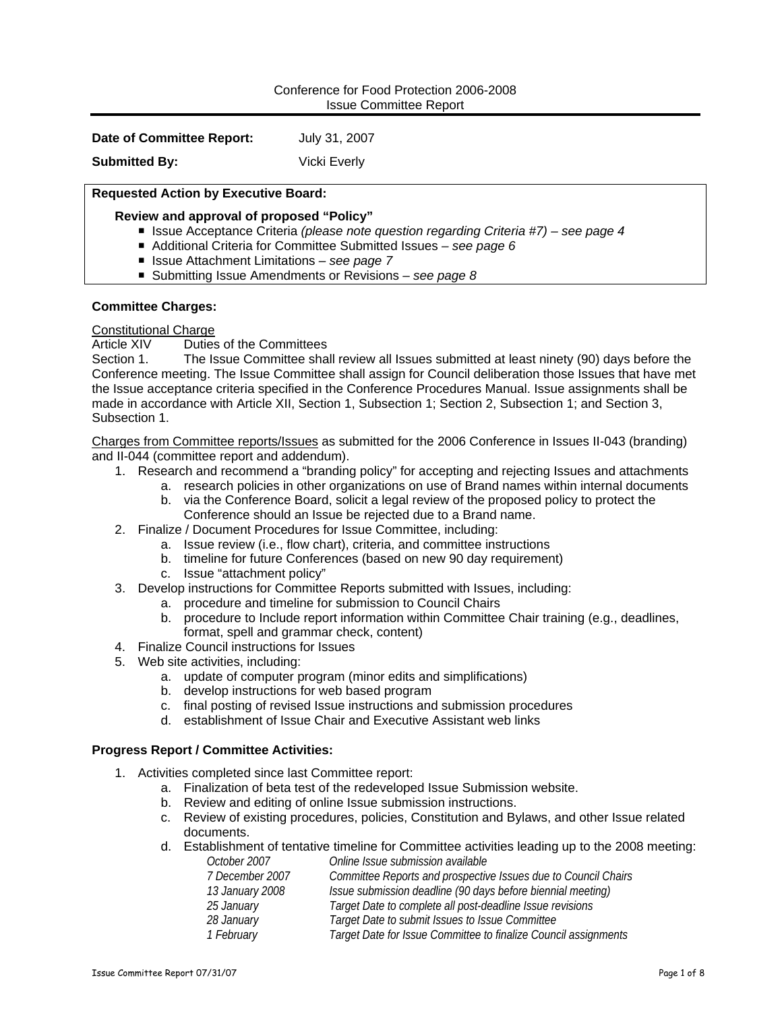#### Conference for Food Protection 2006-2008 Issue Committee Report

**Date of Committee Report:** July 31, 2007

**Submitted By:** Vicki Everly

# **Requested Action by Executive Board:**

# **Review and approval of proposed "Policy"**

- Issue Acceptance Criteria *(please note question regarding Criteria #7)* see page 4
- Additional Criteria for Committee Submitted Issues  *see page 6*
- Issue Attachment Limitations  *see page 7*
- Submitting Issue Amendments or Revisions  *see page 8*

# **Committee Charges:**

# Constitutional Charge

Article XIV Duties of the Committees

Section 1. The Issue Committee shall review all Issues submitted at least ninety (90) days before the Conference meeting. The Issue Committee shall assign for Council deliberation those Issues that have met the Issue acceptance criteria specified in the Conference Procedures Manual. Issue assignments shall be made in accordance with Article XII, Section 1, Subsection 1; Section 2, Subsection 1; and Section 3, Subsection 1.

Charges from Committee reports/Issues as submitted for the 2006 Conference in Issues II-043 (branding) and II-044 (committee report and addendum).

- 1. Research and recommend a "branding policy" for accepting and rejecting Issues and attachments
	- a. research policies in other organizations on use of Brand names within internal documents
	- b. via the Conference Board, solicit a legal review of the proposed policy to protect the Conference should an Issue be rejected due to a Brand name.
- 2. Finalize / Document Procedures for Issue Committee, including:
	- a. Issue review (i.e., flow chart), criteria, and committee instructions
	- b. timeline for future Conferences (based on new 90 day requirement)
	- c. Issue "attachment policy"
- 3. Develop instructions for Committee Reports submitted with Issues, including:
	- a. procedure and timeline for submission to Council Chairs
	- b. procedure to Include report information within Committee Chair training (e.g., deadlines, format, spell and grammar check, content)
- 4. Finalize Council instructions for Issues
- 5. Web site activities, including:
	- a. update of computer program (minor edits and simplifications)
	- b. develop instructions for web based program
	- c. final posting of revised Issue instructions and submission procedures
	- d. establishment of Issue Chair and Executive Assistant web links

#### **Progress Report / Committee Activities:**

- 1. Activities completed since last Committee report:
	- a. Finalization of beta test of the redeveloped Issue Submission website.
	- b. Review and editing of online Issue submission instructions.
	- c. Review of existing procedures, policies, Constitution and Bylaws, and other Issue related documents.
	- d. Establishment of tentative timeline for Committee activities leading up to the 2008 meeting:<br>Coline Issue submission available *October 2007 Online Issue submission available*

| <i>ULIUDEI ZUUT</i> | <i>UTHLIE ISSUE SUDITIISSIUH AVAIIADIE</i>                      |
|---------------------|-----------------------------------------------------------------|
| 7 December 2007     | Committee Reports and prospective Issues due to Council Chairs  |
| 13 January 2008     | Issue submission deadline (90 days before biennial meeting)     |
| 25 January          | Target Date to complete all post-deadline Issue revisions       |
| 28 January          | Target Date to submit Issues to Issue Committee                 |
| 1 February          | Target Date for Issue Committee to finalize Council assignments |
|                     |                                                                 |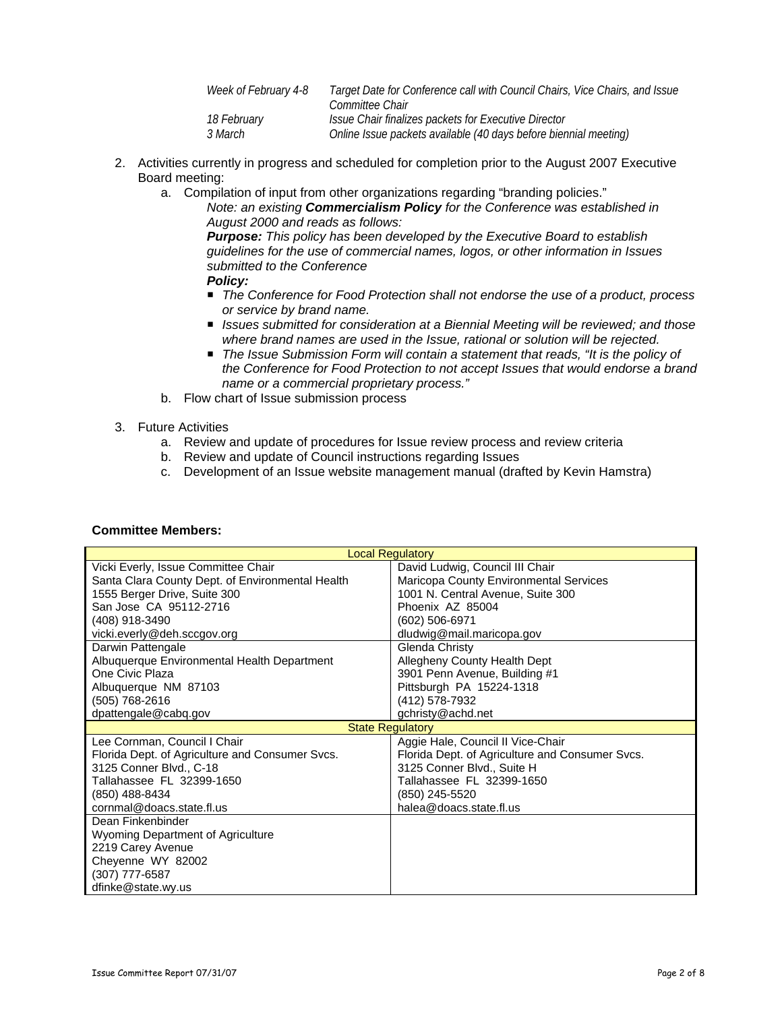| Week of February 4-8 | Target Date for Conference call with Council Chairs, Vice Chairs, and Issue |
|----------------------|-----------------------------------------------------------------------------|
|                      | Committee Chair                                                             |
| <i>18 February</i>   | Issue Chair finalizes packets for Executive Director                        |
| <i>3 March</i>       | Online Issue packets available (40 days before biennial meeting)            |

- 2. Activities currently in progress and scheduled for completion prior to the August 2007 Executive Board meeting:
	- a. Compilation of input from other organizations regarding "branding policies."

*Note: an existing Commercialism Policy for the Conference was established in August 2000 and reads as follows:* 

*Purpose: This policy has been developed by the Executive Board to establish guidelines for the use of commercial names, logos, or other information in Issues submitted to the Conference Policy:* 

- *The Conference for Food Protection shall not endorse the use of a product, process or service by brand name.*
- *Issues submitted for consideration at a Biennial Meeting will be reviewed; and those where brand names are used in the Issue, rational or solution will be rejected.*
- *The Issue Submission Form will contain a statement that reads, "It is the policy of the Conference for Food Protection to not accept Issues that would endorse a brand name or a commercial proprietary process."*
- b. Flow chart of Issue submission process
- 3. Future Activities
	- a. Review and update of procedures for Issue review process and review criteria
	- b. Review and update of Council instructions regarding Issues
	- c. Development of an Issue website management manual (drafted by Kevin Hamstra)

| <b>Local Regulatory</b>                          |                                                 |  |
|--------------------------------------------------|-------------------------------------------------|--|
| Vicki Everly, Issue Committee Chair              | David Ludwig, Council III Chair                 |  |
| Santa Clara County Dept. of Environmental Health | Maricopa County Environmental Services          |  |
| 1555 Berger Drive, Suite 300                     | 1001 N. Central Avenue, Suite 300               |  |
| San Jose CA 95112-2716                           | Phoenix AZ 85004                                |  |
| (408) 918-3490                                   | (602) 506-6971                                  |  |
| vicki.everly@deh.sccgov.org                      | dludwig@mail.maricopa.gov                       |  |
| Darwin Pattengale                                | Glenda Christy                                  |  |
| Albuquerque Environmental Health Department      | Allegheny County Health Dept                    |  |
| One Civic Plaza                                  | 3901 Penn Avenue, Building #1                   |  |
| Albuquerque NM 87103                             | Pittsburgh PA 15224-1318                        |  |
| (505) 768-2616                                   | (412) 578-7932                                  |  |
| dpattengale@cabq.gov                             | gchristy@achd.net                               |  |
| <b>State Regulatory</b>                          |                                                 |  |
| Lee Cornman, Council I Chair                     | Aggie Hale, Council II Vice-Chair               |  |
| Florida Dept. of Agriculture and Consumer Svcs.  | Florida Dept. of Agriculture and Consumer Svcs. |  |
| 3125 Conner Blvd., C-18                          | 3125 Conner Blvd., Suite H                      |  |
| Tallahassee FL 32399-1650                        | Tallahassee FL 32399-1650                       |  |
| (850) 488-8434                                   | (850) 245-5520                                  |  |
| cornmal@doacs.state.fl.us                        | halea@doacs.state.fl.us                         |  |
| Dean Finkenbinder                                |                                                 |  |
| Wyoming Department of Agriculture                |                                                 |  |
| 2219 Carey Avenue                                |                                                 |  |
|                                                  |                                                 |  |
| Cheyenne WY 82002                                |                                                 |  |
| (307) 777-6587                                   |                                                 |  |

# **Committee Members:**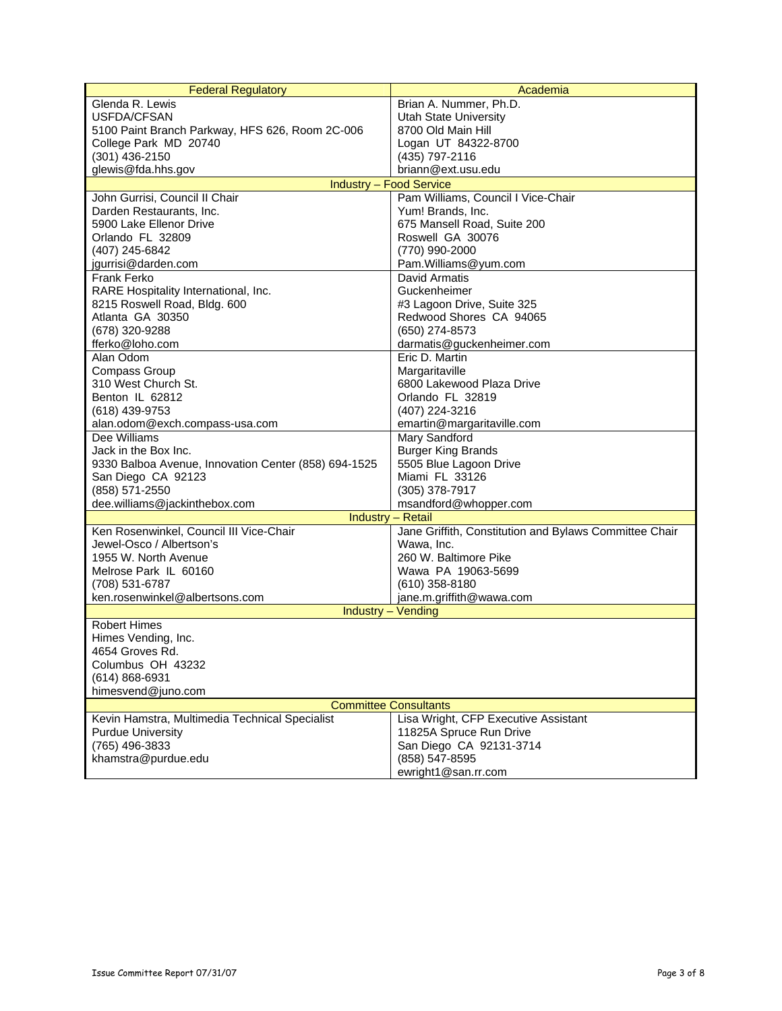| <b>Federal Regulatory</b>                            | Academia                                               |  |  |  |
|------------------------------------------------------|--------------------------------------------------------|--|--|--|
| Glenda R. Lewis                                      | Brian A. Nummer, Ph.D.                                 |  |  |  |
| USFDA/CFSAN                                          | <b>Utah State University</b>                           |  |  |  |
| 5100 Paint Branch Parkway, HFS 626, Room 2C-006      | 8700 Old Main Hill                                     |  |  |  |
| College Park MD 20740                                | Logan UT 84322-8700                                    |  |  |  |
| (301) 436-2150                                       | (435) 797-2116                                         |  |  |  |
| glewis@fda.hhs.gov                                   | briann@ext.usu.edu                                     |  |  |  |
|                                                      | <b>Industry - Food Service</b>                         |  |  |  |
| John Gurrisi, Council II Chair                       | Pam Williams, Council I Vice-Chair                     |  |  |  |
| Darden Restaurants, Inc.                             | Yum! Brands, Inc.                                      |  |  |  |
| 5900 Lake Ellenor Drive                              | 675 Mansell Road, Suite 200                            |  |  |  |
| Orlando FL 32809                                     | Roswell GA 30076                                       |  |  |  |
| (407) 245-6842                                       | (770) 990-2000                                         |  |  |  |
| jgurrisi@darden.com                                  | Pam.Williams@yum.com                                   |  |  |  |
| <b>Frank Ferko</b>                                   | David Armatis                                          |  |  |  |
| RARE Hospitality International, Inc.                 | Guckenheimer                                           |  |  |  |
| 8215 Roswell Road, Bldg. 600                         | #3 Lagoon Drive, Suite 325                             |  |  |  |
| Atlanta GA 30350                                     | Redwood Shores CA 94065                                |  |  |  |
|                                                      | (650) 274-8573                                         |  |  |  |
| (678) 320-9288<br>fferko@loho.com                    | darmatis@guckenheimer.com                              |  |  |  |
| Alan Odom                                            | Eric D. Martin                                         |  |  |  |
| Compass Group                                        |                                                        |  |  |  |
| 310 West Church St.                                  | Margaritaville<br>6800 Lakewood Plaza Drive            |  |  |  |
|                                                      |                                                        |  |  |  |
| Benton IL 62812                                      | Orlando FL 32819                                       |  |  |  |
| (618) 439-9753                                       | (407) 224-3216                                         |  |  |  |
| alan.odom@exch.compass-usa.com                       | emartin@margaritaville.com                             |  |  |  |
| Dee Williams                                         | <b>Mary Sandford</b>                                   |  |  |  |
| Jack in the Box Inc.                                 | <b>Burger King Brands</b>                              |  |  |  |
| 9330 Balboa Avenue, Innovation Center (858) 694-1525 | 5505 Blue Lagoon Drive                                 |  |  |  |
| San Diego CA 92123                                   | Miami FL 33126                                         |  |  |  |
| (858) 571-2550                                       | $(305)$ 378-7917                                       |  |  |  |
| dee.williams@jackinthebox.com                        | msandford@whopper.com                                  |  |  |  |
| Industry - Retail                                    |                                                        |  |  |  |
| Ken Rosenwinkel, Council III Vice-Chair              | Jane Griffith, Constitution and Bylaws Committee Chair |  |  |  |
| Jewel-Osco / Albertson's                             | Wawa, Inc.                                             |  |  |  |
| 1955 W. North Avenue                                 | 260 W. Baltimore Pike                                  |  |  |  |
| Melrose Park IL 60160                                | Wawa PA 19063-5699                                     |  |  |  |
| (708) 531-6787                                       | $(610)$ 358-8180                                       |  |  |  |
| ken.rosenwinkel@albertsons.com                       | jane.m.griffith@wawa.com                               |  |  |  |
| Industry - Vending                                   |                                                        |  |  |  |
| <b>Robert Himes</b>                                  |                                                        |  |  |  |
| Himes Vending, Inc.                                  |                                                        |  |  |  |
| 4654 Groves Rd.                                      |                                                        |  |  |  |
| Columbus OH 43232                                    |                                                        |  |  |  |
| (614) 868-6931                                       |                                                        |  |  |  |
| himesvend@juno.com                                   |                                                        |  |  |  |
| <b>Committee Consultants</b>                         |                                                        |  |  |  |
| Kevin Hamstra, Multimedia Technical Specialist       | Lisa Wright, CFP Executive Assistant                   |  |  |  |
| <b>Purdue University</b>                             | 11825A Spruce Run Drive                                |  |  |  |
| (765) 496-3833                                       | San Diego CA 92131-3714                                |  |  |  |
| khamstra@purdue.edu                                  | (858) 547-8595                                         |  |  |  |
|                                                      | ewright1@san.rr.com                                    |  |  |  |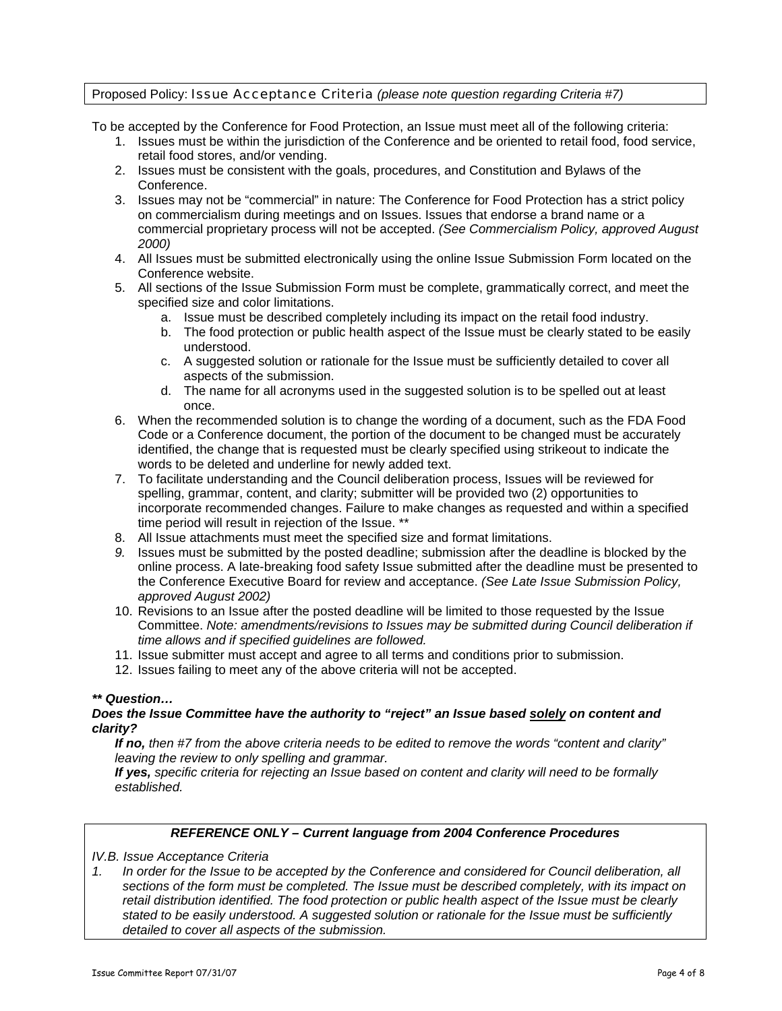# Proposed Policy: Issue Acceptance Criteria *(please note question regarding Criteria #7)*

To be accepted by the Conference for Food Protection, an Issue must meet all of the following criteria:

- 1. Issues must be within the jurisdiction of the Conference and be oriented to retail food, food service, retail food stores, and/or vending.
- 2. Issues must be consistent with the goals, procedures, and Constitution and Bylaws of the Conference.
- 3. Issues may not be "commercial" in nature: The Conference for Food Protection has a strict policy on commercialism during meetings and on Issues. Issues that endorse a brand name or a commercial proprietary process will not be accepted. *(See Commercialism Policy, approved August 2000)*
- 4. All Issues must be submitted electronically using the online Issue Submission Form located on the Conference website.
- 5. All sections of the Issue Submission Form must be complete, grammatically correct, and meet the specified size and color limitations.
	- a. Issue must be described completely including its impact on the retail food industry.
	- b. The food protection or public health aspect of the Issue must be clearly stated to be easily understood.
	- c. A suggested solution or rationale for the Issue must be sufficiently detailed to cover all aspects of the submission.
	- d. The name for all acronyms used in the suggested solution is to be spelled out at least once.
- 6. When the recommended solution is to change the wording of a document, such as the FDA Food Code or a Conference document, the portion of the document to be changed must be accurately identified, the change that is requested must be clearly specified using strikeout to indicate the words to be deleted and underline for newly added text.
- 7. To facilitate understanding and the Council deliberation process, Issues will be reviewed for spelling, grammar, content, and clarity; submitter will be provided two (2) opportunities to incorporate recommended changes. Failure to make changes as requested and within a specified time period will result in rejection of the Issue. \*\*
- 8. All Issue attachments must meet the specified size and format limitations.
- *9.* Issues must be submitted by the posted deadline; submission after the deadline is blocked by the online process. A late-breaking food safety Issue submitted after the deadline must be presented to the Conference Executive Board for review and acceptance. *(See Late Issue Submission Policy, approved August 2002)*
- 10. Revisions to an Issue after the posted deadline will be limited to those requested by the Issue Committee. *Note: amendments/revisions to Issues may be submitted during Council deliberation if time allows and if specified guidelines are followed.*
- 11. Issue submitter must accept and agree to all terms and conditions prior to submission.
- 12. Issues failing to meet any of the above criteria will not be accepted.

#### *\*\* Question…*

# *Does the Issue Committee have the authority to "reject" an Issue based solely on content and clarity?*

*If no, then #7 from the above criteria needs to be edited to remove the words "content and clarity" leaving the review to only spelling and grammar.* 

*If yes, specific criteria for rejecting an Issue based on content and clarity will need to be formally established.* 

#### *REFERENCE ONLY – Current language from 2004 Conference Procedures*

*IV.B. Issue Acceptance Criteria* 

*1. In order for the Issue to be accepted by the Conference and considered for Council deliberation, all sections of the form must be completed. The Issue must be described completely, with its impact on retail distribution identified. The food protection or public health aspect of the Issue must be clearly stated to be easily understood. A suggested solution or rationale for the Issue must be sufficiently detailed to cover all aspects of the submission.*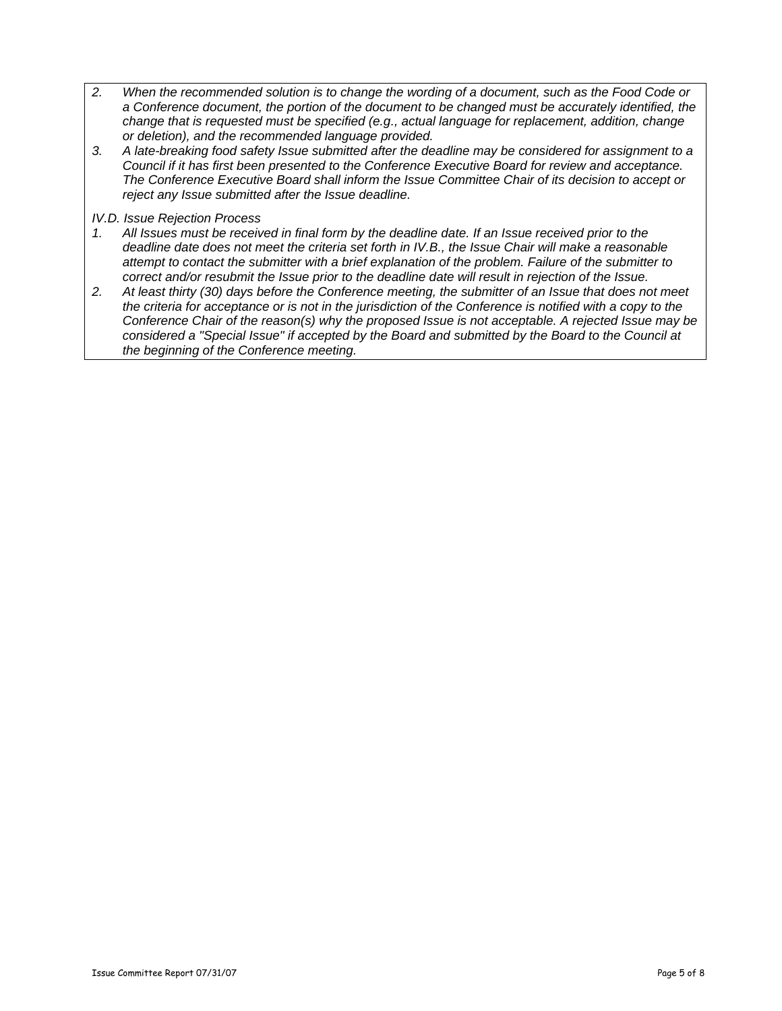- *2. When the recommended solution is to change the wording of a document, such as the Food Code or a Conference document, the portion of the document to be changed must be accurately identified, the change that is requested must be specified (e.g., actual language for replacement, addition, change or deletion), and the recommended language provided.*
- *3. A late-breaking food safety Issue submitted after the deadline may be considered for assignment to a Council if it has first been presented to the Conference Executive Board for review and acceptance. The Conference Executive Board shall inform the Issue Committee Chair of its decision to accept or reject any Issue submitted after the Issue deadline.*

#### *IV.D. Issue Rejection Process*

- *1. All Issues must be received in final form by the deadline date. If an Issue received prior to the deadline date does not meet the criteria set forth in IV.B., the Issue Chair will make a reasonable attempt to contact the submitter with a brief explanation of the problem. Failure of the submitter to correct and/or resubmit the Issue prior to the deadline date will result in rejection of the Issue.*
- *2. At least thirty (30) days before the Conference meeting, the submitter of an Issue that does not meet the criteria for acceptance or is not in the jurisdiction of the Conference is notified with a copy to the Conference Chair of the reason(s) why the proposed Issue is not acceptable. A rejected Issue may be considered a "Special Issue" if accepted by the Board and submitted by the Board to the Council at the beginning of the Conference meeting.*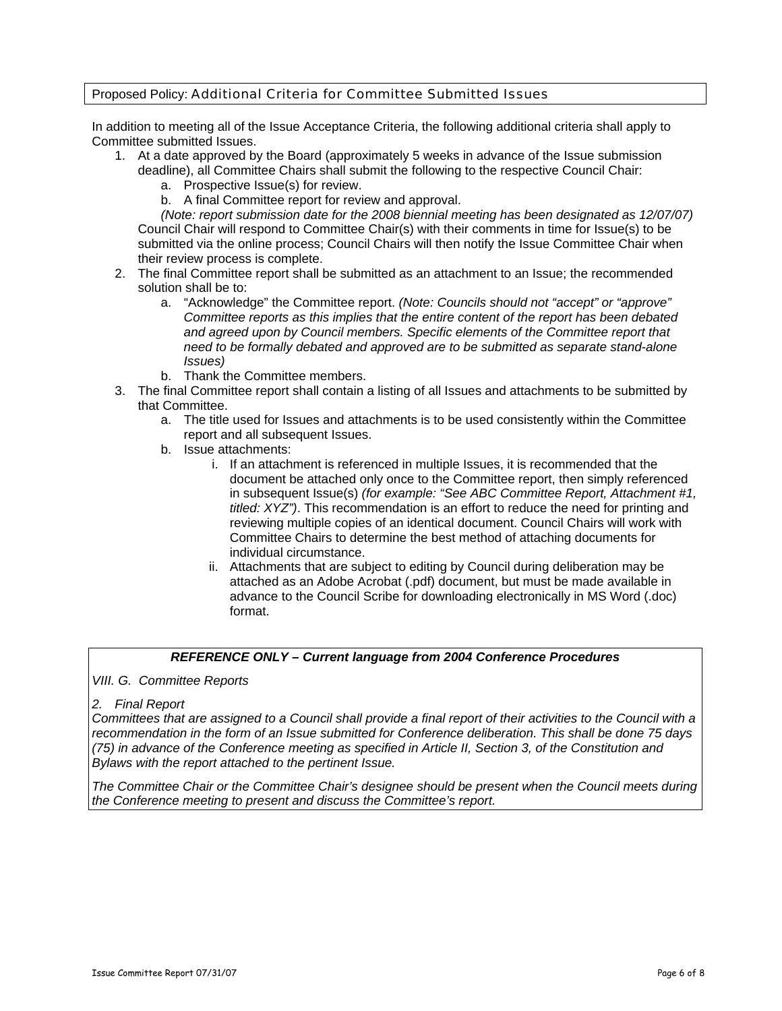# Proposed Policy: Additional Criteria for Committee Submitted Issues

In addition to meeting all of the Issue Acceptance Criteria, the following additional criteria shall apply to Committee submitted Issues.

- 1. At a date approved by the Board (approximately 5 weeks in advance of the Issue submission
	- deadline), all Committee Chairs shall submit the following to the respective Council Chair: a. Prospective Issue(s) for review.
		- b. A final Committee report for review and approval.

*(Note: report submission date for the 2008 biennial meeting has been designated as 12/07/07)* Council Chair will respond to Committee Chair(s) with their comments in time for Issue(s) to be submitted via the online process; Council Chairs will then notify the Issue Committee Chair when their review process is complete.

- 2. The final Committee report shall be submitted as an attachment to an Issue; the recommended solution shall be to:
	- a. "Acknowledge" the Committee report. *(Note: Councils should not "accept" or "approve" Committee reports as this implies that the entire content of the report has been debated and agreed upon by Council members. Specific elements of the Committee report that need to be formally debated and approved are to be submitted as separate stand-alone Issues)*
	- b. Thank the Committee members.
- 3. The final Committee report shall contain a listing of all Issues and attachments to be submitted by that Committee.
	- a. The title used for Issues and attachments is to be used consistently within the Committee report and all subsequent Issues.
	- b. Issue attachments:
		- i. If an attachment is referenced in multiple Issues, it is recommended that the document be attached only once to the Committee report, then simply referenced in subsequent Issue(s) *(for example: "See ABC Committee Report, Attachment #1, titled: XYZ")*. This recommendation is an effort to reduce the need for printing and reviewing multiple copies of an identical document. Council Chairs will work with Committee Chairs to determine the best method of attaching documents for individual circumstance.
		- ii. Attachments that are subject to editing by Council during deliberation may be attached as an Adobe Acrobat (.pdf) document, but must be made available in advance to the Council Scribe for downloading electronically in MS Word (.doc) format.

# *REFERENCE ONLY – Current language from 2004 Conference Procedures*

*VIII. G. Committee Reports*

#### *2. Final Report*

*Committees that are assigned to a Council shall provide a final report of their activities to the Council with a recommendation in the form of an Issue submitted for Conference deliberation. This shall be done 75 days (75) in advance of the Conference meeting as specified in Article II, Section 3, of the Constitution and Bylaws with the report attached to the pertinent Issue.* 

*The Committee Chair or the Committee Chair's designee should be present when the Council meets during the Conference meeting to present and discuss the Committee's report.*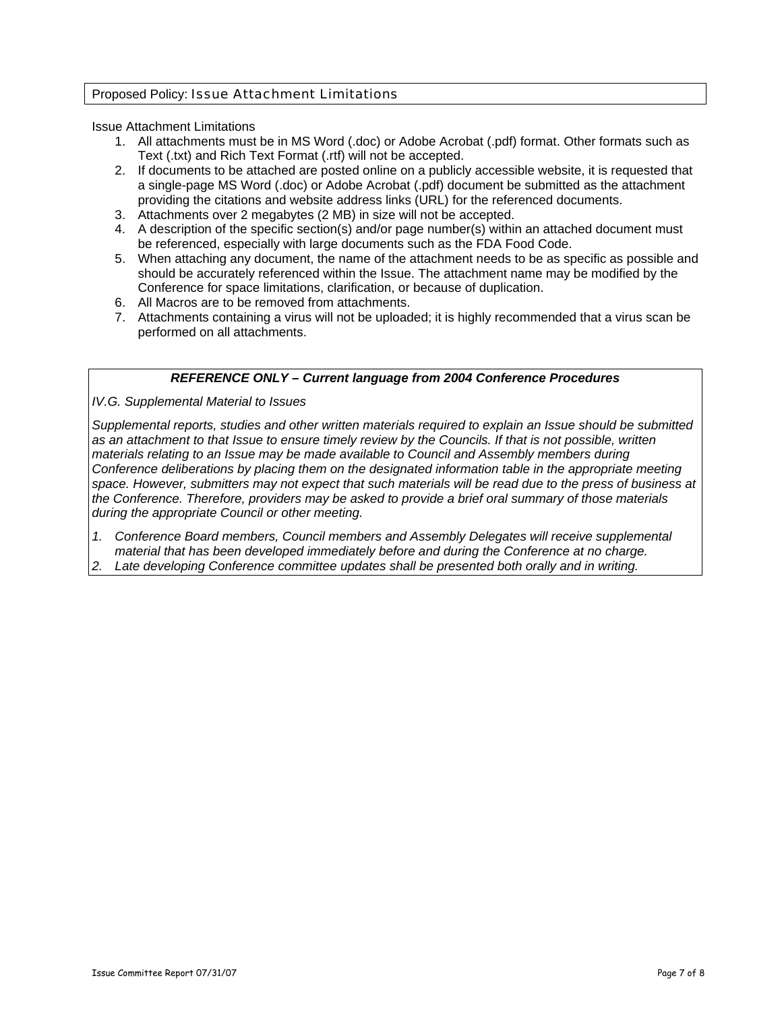# Proposed Policy: Issue Attachment Limitations

Issue Attachment Limitations

- 1. All attachments must be in MS Word (.doc) or Adobe Acrobat (.pdf) format. Other formats such as Text (.txt) and Rich Text Format (.rtf) will not be accepted.
- 2. If documents to be attached are posted online on a publicly accessible website, it is requested that a single-page MS Word (.doc) or Adobe Acrobat (.pdf) document be submitted as the attachment providing the citations and website address links (URL) for the referenced documents.
- 3. Attachments over 2 megabytes (2 MB) in size will not be accepted.
- 4. A description of the specific section(s) and/or page number(s) within an attached document must be referenced, especially with large documents such as the FDA Food Code.
- 5. When attaching any document, the name of the attachment needs to be as specific as possible and should be accurately referenced within the Issue. The attachment name may be modified by the Conference for space limitations, clarification, or because of duplication.
- 6. All Macros are to be removed from attachments.
- 7. Attachments containing a virus will not be uploaded; it is highly recommended that a virus scan be performed on all attachments.

# *REFERENCE ONLY – Current language from 2004 Conference Procedures*

*IV.G. Supplemental Material to Issues*

*Supplemental reports, studies and other written materials required to explain an Issue should be submitted as an attachment to that Issue to ensure timely review by the Councils. If that is not possible, written materials relating to an Issue may be made available to Council and Assembly members during Conference deliberations by placing them on the designated information table in the appropriate meeting space. However, submitters may not expect that such materials will be read due to the press of business at the Conference. Therefore, providers may be asked to provide a brief oral summary of those materials during the appropriate Council or other meeting.* 

- *1. Conference Board members, Council members and Assembly Delegates will receive supplemental material that has been developed immediately before and during the Conference at no charge.*
- *2. Late developing Conference committee updates shall be presented both orally and in writing.*